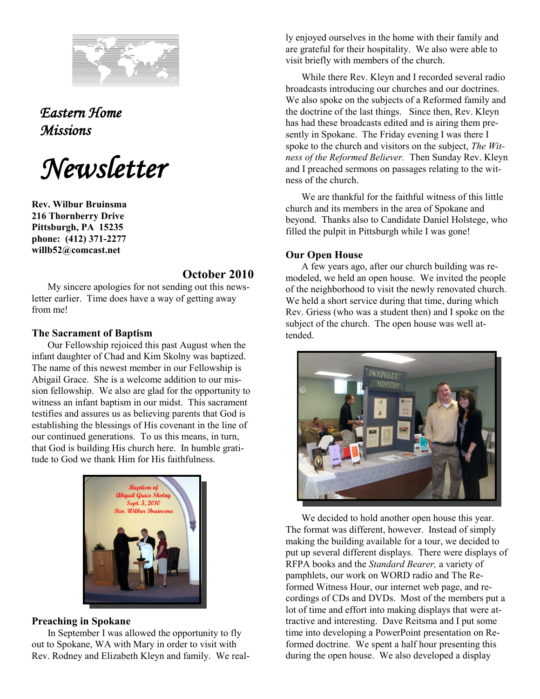

*Eastern Home Missions* 

*Newsletter*

**Rev. Wilbur Bruinsma 216 Thornberry Drive Pittsburgh, PA 15235 phone: (412) 371-2277 willb52@comcast.net**

# **October 2010**

My sincere apologies for not sending out this newsletter earlier. Time does have a way of getting away from me!

### **The Sacrament of Baptism**

Our Fellowship rejoiced this past August when the infant daughter of Chad and Kim Skolny was baptized. The name of this newest member in our Fellowship is Abigail Grace. She is a welcome addition to our mission fellowship. We also are glad for the opportunity to witness an infant baptism in our midst. This sacrament testifies and assures us as believing parents that God is establishing the blessings of His covenant in the line of our continued generations. To us this means, in turn, that God is building His church here. In humble gratitude to God we thank Him for His faithfulness.



## **Preaching in Spokane**

In September I was allowed the opportunity to fly out to Spokane, WA with Mary in order to visit with Rev. Rodney and Elizabeth Kleyn and family. We really enjoyed ourselves in the home with their family and are grateful for their hospitality. We also were able to visit briefly with members of the church.

While there Rev. Kleyn and I recorded several radio broadcasts introducing our churches and our doctrines. We also spoke on the subjects of a Reformed family and the doctrine of the last things. Since then, Rev. Kleyn has had these broadcasts edited and is airing them presently in Spokane. The Friday evening I was there I spoke to the church and visitors on the subject, *The Witness of the Reformed Believer.* Then Sunday Rev. Kleyn and I preached sermons on passages relating to the witness of the church.

We are thankful for the faithful witness of this little church and its members in the area of Spokane and beyond. Thanks also to Candidate Daniel Holstege, who filled the pulpit in Pittsburgh while I was gone!

## **Our Open House**

A few years ago, after our church building was remodeled, we held an open house. We invited the people of the neighborhood to visit the newly renovated church. We held a short service during that time, during which Rev. Griess (who was a student then) and I spoke on the subject of the church. The open house was well attended.



We decided to hold another open house this year. The format was different, however. Instead of simply making the building available for a tour, we decided to put up several different displays. There were displays of RFPA books and the *Standard Bearer,* a variety of pamphlets, our work on WORD radio and The Reformed Witness Hour, our internet web page, and recordings of CDs and DVDs. Most of the members put a lot of time and effort into making displays that were attractive and interesting. Dave Reitsma and I put some time into developing a PowerPoint presentation on Reformed doctrine. We spent a half hour presenting this during the open house. We also developed a display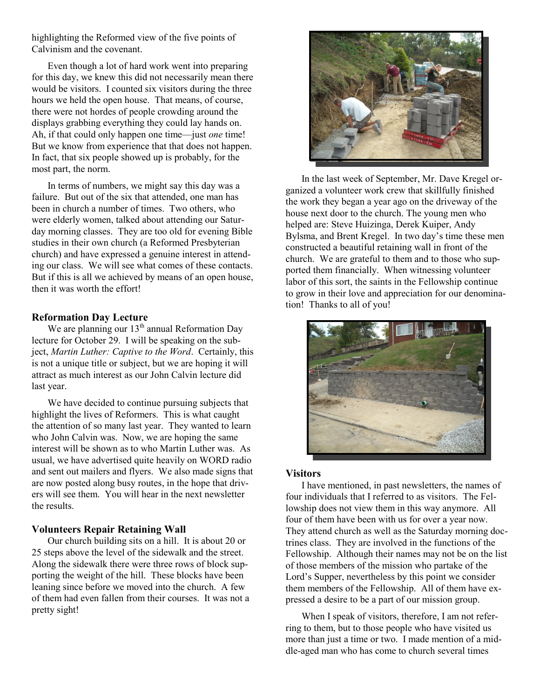highlighting the Reformed view of the five points of Calvinism and the covenant.

Even though a lot of hard work went into preparing for this day, we knew this did not necessarily mean there would be visitors. I counted six visitors during the three hours we held the open house. That means, of course, there were not hordes of people crowding around the displays grabbing everything they could lay hands on. Ah, if that could only happen one time—just *one* time! But we know from experience that that does not happen. In fact, that six people showed up is probably, for the most part, the norm.

In terms of numbers, we might say this day was a failure. But out of the six that attended, one man has been in church a number of times. Two others, who were elderly women, talked about attending our Saturday morning classes. They are too old for evening Bible studies in their own church (a Reformed Presbyterian church) and have expressed a genuine interest in attending our class. We will see what comes of these contacts. But if this is all we achieved by means of an open house, then it was worth the effort!

## **Reformation Day Lecture**

We are planning our  $13<sup>th</sup>$  annual Reformation Day lecture for October 29. I will be speaking on the subject, *Martin Luther: Captive to the Word*. Certainly, this is not a unique title or subject, but we are hoping it will attract as much interest as our John Calvin lecture did last year.

We have decided to continue pursuing subjects that highlight the lives of Reformers. This is what caught the attention of so many last year. They wanted to learn who John Calvin was. Now, we are hoping the same interest will be shown as to who Martin Luther was. As usual, we have advertised quite heavily on WORD radio and sent out mailers and flyers. We also made signs that are now posted along busy routes, in the hope that drivers will see them. You will hear in the next newsletter the results.

### **Volunteers Repair Retaining Wall**

Our church building sits on a hill. It is about 20 or 25 steps above the level of the sidewalk and the street. Along the sidewalk there were three rows of block supporting the weight of the hill. These blocks have been leaning since before we moved into the church. A few of them had even fallen from their courses. It was not a pretty sight!



In the last week of September, Mr. Dave Kregel organized a volunteer work crew that skillfully finished the work they began a year ago on the driveway of the house next door to the church. The young men who helped are: Steve Huizinga, Derek Kuiper, Andy Bylsma, and Brent Kregel. In two day's time these men constructed a beautiful retaining wall in front of the church. We are grateful to them and to those who supported them financially. When witnessing volunteer labor of this sort, the saints in the Fellowship continue to grow in their love and appreciation for our denomination! Thanks to all of you!



#### **Visitors**

I have mentioned, in past newsletters, the names of four individuals that I referred to as visitors. The Fellowship does not view them in this way anymore. All four of them have been with us for over a year now. They attend church as well as the Saturday morning doctrines class. They are involved in the functions of the Fellowship. Although their names may not be on the list of those members of the mission who partake of the Lord's Supper, nevertheless by this point we consider them members of the Fellowship. All of them have expressed a desire to be a part of our mission group.

When I speak of visitors, therefore, I am not referring to them, but to those people who have visited us more than just a time or two. I made mention of a middle-aged man who has come to church several times